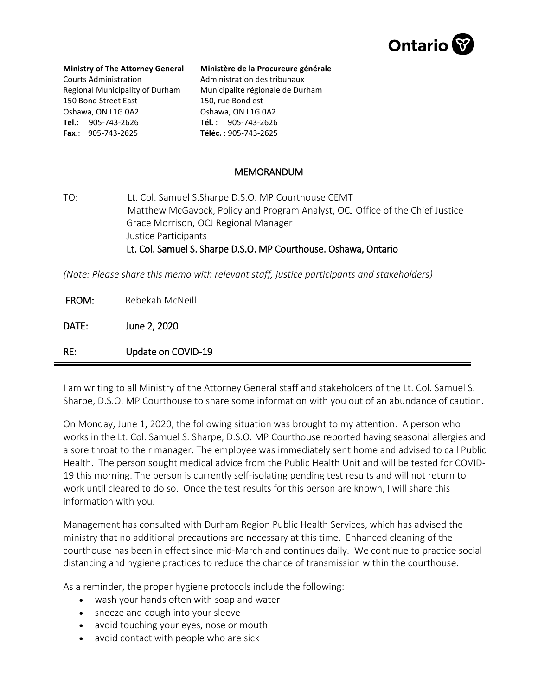

## **Ministry of The Attorney General**

Courts Administration Regional Municipality of Durham 150 Bond Street East Oshawa, ON L1G 0A2 **Tel.**: 905-743-2626 **Fax**.: 905-743-2625

## **Ministère de la Procureure générale**  Administration des tribunaux Municipalité régionale de Durham 150, rue Bond est Oshawa, ON L1G 0A2 **Tél.** : 905-743-2626

**Téléc.** : 905-743-2625

## MEMORANDUM

TO: Lt. Col. Samuel S.Sharpe D.S.O. MP Courthouse CEMT Matthew McGavock, Policy and Program Analyst, OCJ Office of the Chief Justice Grace Morrison, OCJ Regional Manager Justice Participants Lt. Col. Samuel S. Sharpe D.S.O. MP Courthouse. Oshawa, Ontario

*(Note: Please share this memo with relevant staff, justice participants and stakeholders)*

FROM: Rebekah McNeill

DATE: June 2, 2020

RE: Update on COVID-19

I am writing to all Ministry of the Attorney General staff and stakeholders of the Lt. Col. Samuel S. Sharpe, D.S.O. MP Courthouse to share some information with you out of an abundance of caution.

On Monday, June 1, 2020, the following situation was brought to my attention. A person who works in the Lt. Col. Samuel S. Sharpe, D.S.O. MP Courthouse reported having seasonal allergies and a sore throat to their manager. The employee was immediately sent home and advised to call Public Health. The person sought medical advice from the Public Health Unit and will be tested for COVID-19 this morning. The person is currently self-isolating pending test results and will not return to work until cleared to do so. Once the test results for this person are known, I will share this information with you.

Management has consulted with Durham Region Public Health Services, which has advised the ministry that no additional precautions are necessary at this time. Enhanced cleaning of the courthouse has been in effect since mid-March and continues daily. We continue to practice social distancing and hygiene practices to reduce the chance of transmission within the courthouse.

As a reminder, the proper hygiene protocols include the following:

- wash your hands often with soap and water
- sneeze and cough into your sleeve
- avoid touching your eyes, nose or mouth
- avoid contact with people who are sick